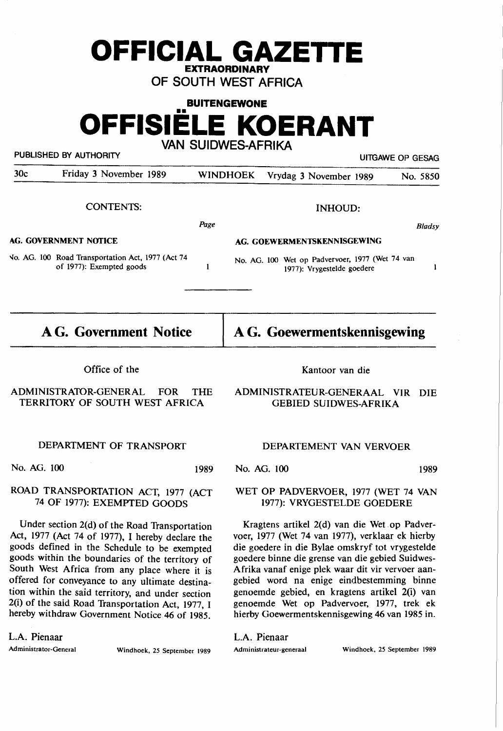# **OFFICIAL GAZETTE EXTRAORDINARY**

**OF SOUTH WEST AFRICA** 

# **BUITENGEWONE OFFISIELE KOERANT VAN SUIDWES-AFRIKA**

## PUBLISHED BY AUTHORITY **EXECUTE A SECURE 2018 THE SECURE 2018** UITGAWE OP GESAG

*B/adsy* 

 $\mathbf{I}$ 

30c Friday 3 November 1989 WINDHOEK Vrydag 3 November 1989 No. 5850

#### CONTENTS:

#### INHOUD:

*Page* 

 $\mathbf{1}$ 

#### **AG. GOVERNMENT NOTICE**

# **AG. GOEWERMENTSKENNISGEWING**

*'10.* AG. 100 Road Transportation Act, 1977 (Act 74 of 1977): Exempted goods

No. AG. 100 Wet op Padvervoer, 1977 (Wet 74 van 1977): Vrygestelde goedere

| <b>A G. Government Notice</b> |  |  |  |  |
|-------------------------------|--|--|--|--|
|-------------------------------|--|--|--|--|

# **A G. Goewermentskennisgewing**

Kantoor van die

Office of the

## ADMINISTRATOR-GENERAL FOR THE TERRITORY OF SOUTH WEST AFRICA

#### ADMINISTRATEUR-GENERAAL VIR DIE GEBIED SUIDWES-AFRIKA

# DEPARTMENT OF TRANSPORT

No. AG. 100 1989

# ROAD TRANSPORTATION ACT, 1977 (ACT 74 OF 1977): EXEMPTED GOODS

Under section 2(d) of the Road Transportation Act, 1977 (Act 74 of 1977), I hereby declare the goods defined in the Schedule to be exempted goods within the boundaries of the territory of South West Africa from any place where it is offered for conveyance to any ultimate destination within the said territory, and under section 2(i) of the said Road Transportation Act, 1977, I hereby withdraw Government Notice 46 of 1985.

L.A. Pienaar

Administrator-General Windhoek, 25 September 1989

### DEPARTEMENT VAN VERVOER

No. AG. 100 1989

## WET OP PADVERVOER, 1977 (WET 74 VAN 1977): VRYGESTELDE GOEDERE

Kragtens artikel 2(d) van die Wet op Padvervoer, 1977 (Wet 74 van 1977), verklaar ek hierby die goedere in die Bylae omskryf tot vrygestelde goedere binne die grense van die gebied Suidwes-Afrika vanaf enige plek waar dit vir vervoer aangebied word na enige eindbestemming binne genoemde gebied, en kragtens artikel 2(i) van genoemde Wet op Padvervoer, 1977, trek ek hierby Goewermentskennisgewing 46 van 1985 in.

L.A. Pienaar

Administrateur-generaal Windhoek, 25 September 1989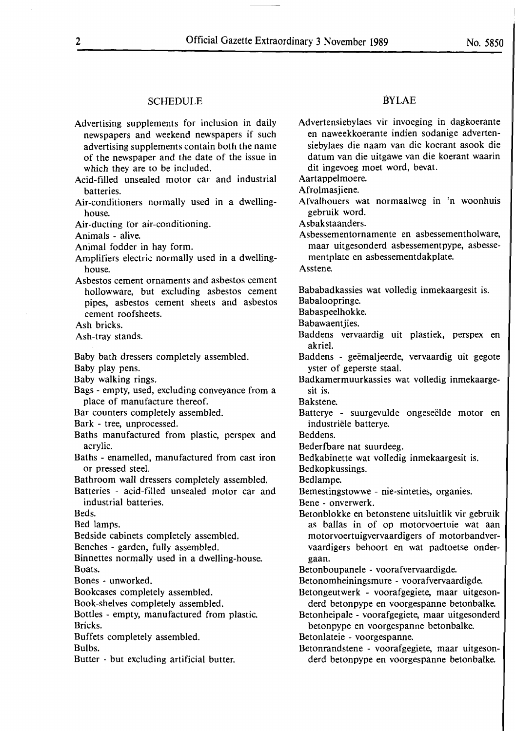#### **SCHEDULE**

Advertising supplements for inclusion in daily newspapers and weekend newspapers if such advertising supplements contain both the name of the newspaper and the date of the issue in which they are to be included.

Acid-filled unsealed motor car and industrial batteries.

- Air-conditioners normally used in a dwellinghouse.
- Air-ducting for air-conditioning.

Animals - alive.

Animal fodder in hay form.

- Amplifiers electric normally used in a dwellinghouse.
- Asbestos cement ornaments and asbestos cement hollowware, but excluding asbestos cement pipes, asbestos cement sheets and asbestos cement roofsheets.

Ash bricks.

Ash-tray stands.

Baby bath dressers completely assembled.

Baby play pens.

Baby walking rings.

Bags - empty, used, excluding conveyance from a place of manufacture thereof.

- Bar counters completely assembled.
- Bark tree, unprocessed.
- Baths manufactured from plastic, perspex and acrylic.
- Baths enamelled, manufactured from cast iron or pressed steel.
- Bathroom wall dressers completely assembled.
- Batteries acid-filled unsealed motor car and industrial batteries.

Beds.

Bed lamps.

Bedside cabinets completely assembled.

Benches - garden, fully assembled.

Binnettes normally used in a dwelling-house. Boats.

Bones - unworked.

Bookcases completely assembled.

Book-shelves completely assembled.

Bottles - empty, manufactured from plastic. Bricks.

Buffets completely assembled.

Bulbs.

Butter - but excluding artificial butter.

#### BYLAE

Advertensiebylaes vir invoeging in dagkoerante en naweekkoerante indien sodanige advertensiebylaes die naam van die koerant asook die datum van die uitgawe van die koerant waarin dit ingevoeg moet word, bevat.

Aartappelmoere.

Afrolmasiiene.

Afvalhouers wat normaalweg in 'n woonhuis gebruik word.

Asbakstaanders.

Asbessementornamente en asbessementholware, maar uitgesonderd asbessementpype, asbesse-

mentplate en asbessementdakplate.

Asstene.

Bababadkassies wat volledig inmekaargesit is. Babaloopringe.

Babaspeelhokke.

Babawaentjies.

- Baddens vervaardig uit plastiek, perspex en akriel.
- Baddens geëmaljeerde, vervaardig uit gegote yster of geperste staal.

Badkamermuurkassies wat volledig inmekaargesit is.

- Bakstene.
- Batterye suurgevulde ongeseëlde motor en industriële batterye.
- Beddens.
- Bederfbare nat suurdeeg.
- Bedkabinette wat volledig inmekaargesit is.
- Bedkopkussings.

Bedlampe.

Bemestingstowwe - nie-sinteties, organies.

Bene - onverwerk.

- Betonblokke en betonstene uitsluitlik vir gebruik as ballas in of op motorvoertuie wat aan motorvoertuigvervaardigers of motorbandvervaardigers behoort en wat padtoetse ondergaan.
- Betonboupanele voorafvervaardigde.
- Betonomheiningsmure voorafvervaardigde.
- Betongeutwerk voorafgegiete, maar uitgesonderd betonpype en voorgespanne betonbalke.
- Betonheipale voorafgegiete, maar uitgesonderd betonpype en voorgespanne betonbalke.

Betonlateie - voorgespanne.

Betonrandstene - voorafgegiete, maar uitgesonderd betonpype en voorgespanne betonbalke.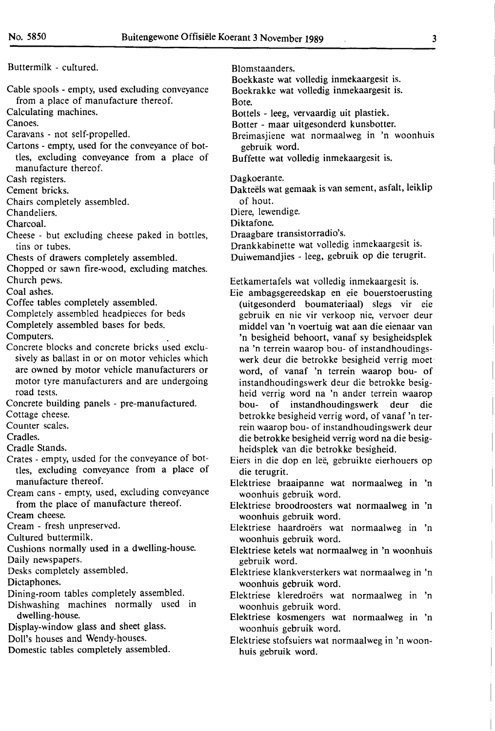Buttermilk - cultured.

Cable spools - empty, used excluding conveyance from a place of manufacture thereof.

Calculating machines.

Canoes.

- Caravans not self-propelled.
- Cartons empty, used for the conveyance of bottles, excluding conveyance from a place of manufacture thereof.

Cash registers.

Cement bricks.

Chairs completely assembled.

Chandeliers.

Charcoal.

Cheese - but excluding cheese paked in bottles, tins or tubes.

Chests of drawers completely assembled.

Chopped or sawn fire-wood, excluding matches. Church pews.

Coal ashes.

- Coffee tables completely assembled.
- Completely assembled headpieces for beds
- Completely assembled bases for beds.

Computers. .

- Concrete blocks and concrete bricks used exclusively as ballast in or on motor vehicles which are owned by motor vehicle manufacturers or motor tyre manufacturers and are undergoing road tests.
- Concrete building panels pre-manufactured.

Cottage cheese.

Counter scales.

Cradles.

- Cradle Stands.
- Crates empty, usded for the conveyance of bottles, excluding conveyance from a place of manufacture thereof.
- Cream cans empty, used, excluding conveyance from the place of manufacture thereof.

Cream cheese.

Cream - fresh unpreserved.

Cultured buttermilk.

- Cushions normally used in a dwelling-house.
- Daily newspapers. Desks completely assembled.

Dictaphones.

- Dining-room tables completely assembled. Dishwashing machines normally used in
- dwelling-house.
- Display-window glass and sheet glass.
- Doll's houses and Wendy-houses.

Domestic tables completely assembled.

Blomstaanders.

Boekkaste wat volledig inmekaargesit is. Boekrakke wat volledig inmekaargesit is. Bote.

Bottels - leeg, vervaardig uit plastiek.

Botter - maar uitgesonderd kunsbotter.

Breimasjiene wat normaalweg in 'n woonhuis gebruik word.

Buffette wat volledig inmekaargesit is.

Dagkoerante.

Dakteëls wat gemaak is van sement, asfalt, leiklip of bout.

Diere, lewendige.

Diktafone.

Draagbare transistorradio's.

Drankkabinette wat volledig inmekaargesit is. Duiwemandjies - leeg, gebruik op die terugrit.

Eetkamertafels wat volledig inmekaargesit is.

- Eie ambagsgereedskap en eie bouerstoerusting (uitgesonderd boumateriaal) slegs vir eie gebruik en nie vir verkoop nie, vervoer deur middel van 'n voertuig wat aan die eienaar van 'n besigheid behoort, vanaf sy besigheidsplek na 'n terrein waarop bou- of instandhoudingswerk deur die betrokke besigheid verrig moet' word, of vanaf 'n terrein waarop bou- of instandhoudingswerk deur die betrokke besigheid verrig word na 'n ander terrein waarop bou- of instandhoudingswerk deur die betrokke besigheid verrig word, of vanaf 'n terrein waarop bou- of instandhoudingswerk deur die betrokke besigheid verrig word na die besigheidsplek van die betrokke besigheid.
- Eiers in die dop en leë, gebruikte eierhouers op die terugrit.
- Elektriese braaipanne wat normaalweg in 'n woonhuis gebruik word.
- Elektriese broodroosters wat normaalweg in 'n woonhuis gebruik word.
- Elektriese haardroërs wat normaalweg in 'n woonhuis gebruik word.
- Elektriese ketels wat normaalweg in 'n woonhuis gebruik word.
- Elektriese klankversterkers wat normaalweg in 'n woonhuis gebruik word.
- Elektriese kleredroërs wat normaalweg in 'n woonhuis gebruik word.
- Elektriese kosmengers wat normaalweg in 'n woonhuis gebruik word.
- Elektriese stofsuiers wat normaalweg in 'n woonhuis gebruik word.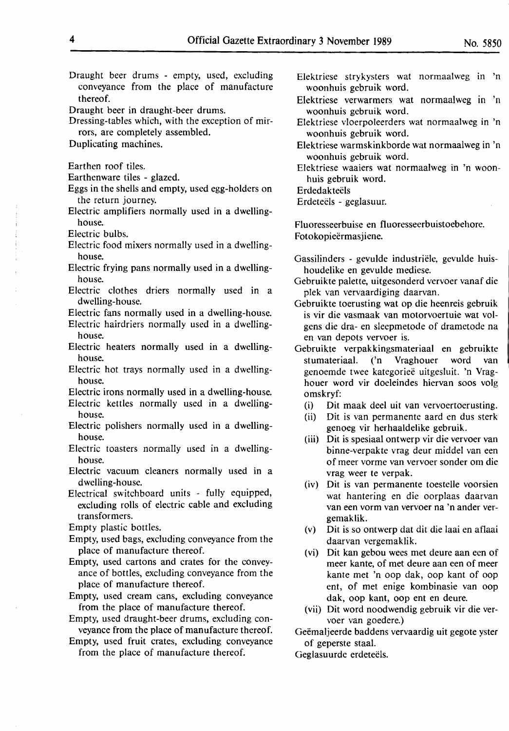- Draught beer drums empty, used, excluding conveyance from the place of manufacture thereof.
- Draught beer in draught-beer drums.
- Dressing-tables which, with the exception of mirrors, are completely assembled.
- Duplicating machines.

Earthen roof tiles.

- Earthenware tiles glazed.
- Eggs in the shells and empty, used egg-holders on the return journey.
- Electric amplifiers normally used in a dwellinghouse.

Electric bulbs.

- Electric food mixers normally used in a dwellinghouse.
- Electric frying pans normally used in a dwellinghouse.
- Electric clothes driers normally used in a dwelling-house.

Electric fans normally used in a dwelling-house.

Electric hairdriers normally used in a dwellinghouse.

- Electric heaters normally used in a dwellinghouse.
- Electric hot trays normally used in a dwellinghouse.

Electric irons normally used in a dwelling-house.

- Electric kettles normally used in a dwellinghouse.
- Electric polishers normally used in a dwellinghouse.
- Electric toasters normally used in a dwellinghouse.
- Electric vacuum cleaners normally used in a dwelling-house.

Electrical switchboard units - fully equipped, excluding rolls of electric cable and excluding transformers.

Empty plastic bottles.

- Empty, used bags, excluding conveyance from the place of manufacture thereof.
- Empty, used cartons and crates for the conveyance of bottles, excluding conveyance from the place of manufacture thereof.
- Empty, used cream cans, excluding conveyance from the place of manufacture thereof.
- Empty, used draught-beer drums, excluding conveyance from the place of manufacture thereof.
- Empty, used fruit crates, excluding conveyance from the place of manufacture thereof.
- Elektriese strykysters wat normaalweg in 'n woonhuis gebruik word.
- Elektriese verwarmers wat normaalweg in 'n woonhuis gebruik word.
- Elektriese vloerpoleerders wat normaalweg in 'n woonhuis gebruik word.
- Elektriese warmskinkborde wat normaalweg in 'n woonhuis gebruik word.

Elektriese waaiers wat normaalweg in 'n woonhuis gebruik word.

**Erdedakteëls** 

Erdeteëls - geglasuur.

Fluoresseerbuise en fluoresseerbuistoebehore. Fotokopieermasjiene.

- Gassilinders gevulde industriële, gevulde huishoudelike en gevulde mediese.
- Gebruikte palette, uitgesonderd vervoer vanaf die plek van vervaardiging daarvan.
- Gebruikte toerusting wat op die heenreis gebruik is vir die vasmaak van motorvoertuie wat volgens die dra- en sleepmetode of drametode na en van depots vervoer is.
- Gebruikte verpakkingsmateriaal en gebruikte stumateriaal. ('n Vraghouer word van genoemde twee kategoriee uitgesluit. 'n Vraghouer word vir doeleindes hiervan soos volg omskryf:
	- (i) Dit maak deel uit van vervoertoerusting.
	- (ii) Dit is van permanente aard en dus sterk genoeg vir herhaaldelike gebruik.
	- (iii) Dit is spesiaal ontwerp vir die vervoer van binne-verpakte vrag deur middel van een of meer vorme van vervoer sonder om die vrag weer te verpak.
	- (iv) Dit is van permanente toestelle voorsien wat bantering· en die oorplaas daarvan van een vorm van vervoer na 'n ander vergemaklik.
	- (v) Dit is so ontwerp dat dit die laai en aflaai daarvan vergemaklik.
	- (vi) Dit kan gebou wees met deure aan een of meer kante, of met deure aan een of meer kante met 'n oop dak, oop kant of oop ent, of met enige kombinasie van oop dak, oop kant, oop ent en deure.
	- (vii) Dit word noodwendig gebruik vir die vervoer van goedere.)

Geëmaljeerde baddens vervaardig uit gegote yster of geperste staal.

Geglasuurde erdeteëls.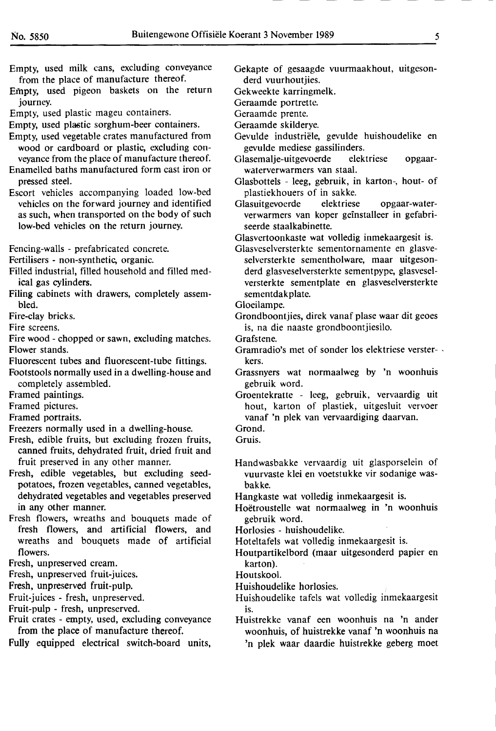- Empty, used milk cans, excluding conveyance from the place of manufacture thereof.
- Empty, used pigeon baskets on the return journey.
- Empty, used plastic mageu containers.
- Empty, used plastic sorghum-beer containers.
- Empty, used vegetable crates manufactured from wood or cardboard or plastic, excluding conveyance from the place of manufacture thereof.
- Enamelled baths manufactured form cast iron or pressed steel.
- Escort vehicles accompanying loaded low-bed vehicles on the forward journey and identified as such, when transported on the body of such low-bed vehicles on the return journey.
- Fencing-walls prefabricated concrete.
- Fertilisers non-synthetic, organic.
- Filled industrial, filled household and filled medical gas cylinders.
- **Filing** cabinets with drawers, completely assembled.
- Fire-clay bricks.
- Fire screens.
- Fire wood chopped or sawn, excluding matches. Flower stands.
- Fluorescent tubes and fluorescent-tube fittings.
- Footstools normally used in a dwelling-house and completely assembled.
- Framed paintings.
- Framed pictures.
- Framed portraits.
- Freezers normally used in a dwelling-house.
- Fresh, edible fruits, but excluding frozen fruits, canned fruits, dehydrated fruit, dried fruit and fruit preserved in any other manner.
- Fresh, edible vegetables, but excluding seedpotatoes, frozen vegetables, canned vegetables, dehydrated vegetables and vegetables preserved in any other manner.
- Fresh flowers, wreaths and bouquets made of fresh flowers, and artificial flowers, and wreaths and bouquets made of artificial flowers.
- Fresh, unpreserved cream.
- Fresh, unpreserved fruit-juices.
- Fresh, unpreserved fruit-pulp.
- Eruit-juices fresh, unpreserved.
- Fruit-pulp fresh, unpreserved.
- Fruit crates empty, used, excluding conveyance from the place of manufacture thereof.
- **Fully** equipped electrical switch-board units,
- Gekapte of gesaagde vuurmaakhout, uitgesonderd vuurhoutjies.
- Gekweekte karringmelk.
- Geraamde portrette.
- Geraamde prente.
- Geraamde skilderye.
- Gevulde industriele, gevulde huishoudelike en gevulde mediese gassilinders.
- Glasemalje-uitgevoerde elektriese opgaarwaterverwarmers van staal.
- Glasbottels leeg, gebruik, in karton-, hout- of plastiekhouers of in sakke.
- Glasuitgevoerde elektriese opgaar-waterverwarmers van koper geinstalleer in gefabriseerde staalkabinette.
- Glasvertoonkaste wat volledig inmekaargesit is.
- Glasveselversterkte sementornamente en glasveselversterkte sementholware, maar uitgesonderd glasveselversterkte sementpype, glasveselversterkte sementplate en glasveselversterkte sementdakplate.
- Gloeilampe.
- Grondboontjies, direk vanaf plase waar dit geoes is, na die naaste grondboontjiesilo.
- Grafstene.
- Gramradio's met of sonder los elektriese verster- , kers.
- Grassnyers wat normaalweg by 'n woonhuis gebruik word.
- Groentekratte leeg, gebruik, vervaardig uit hout, karton of plastiek, uitgesluit vervoer vanaf 'n plek van vervaardiging daarvan.
- Grond.
- Gruis.
- Handwasbakke vervaardig uit glasporselein of vuurvaste klei en voetstukke vir sodanige was**bakke.**
- Hangkaste wat volledig inmekaargesit is.
- Hoëtroustelle wat normaalweg in 'n woonhuis gebruik word.
- Horlosies huishoudelike.
- Hoteltafels wat volledig inmekaargesit is.
- Houtpartikelbord (maar uitgesonderd papier en karton).
- Houtskool.
- Huishoudelike horlosies. :
- Huishoudelike tafels wat volledig inmekaargesit is.
- Huistrekke vanaf een woonhuis na 'n ander woonhuis, of huistrekke vanaf 'n woonhuis na
	- 'n plek waar daardie huistrekke geberg moet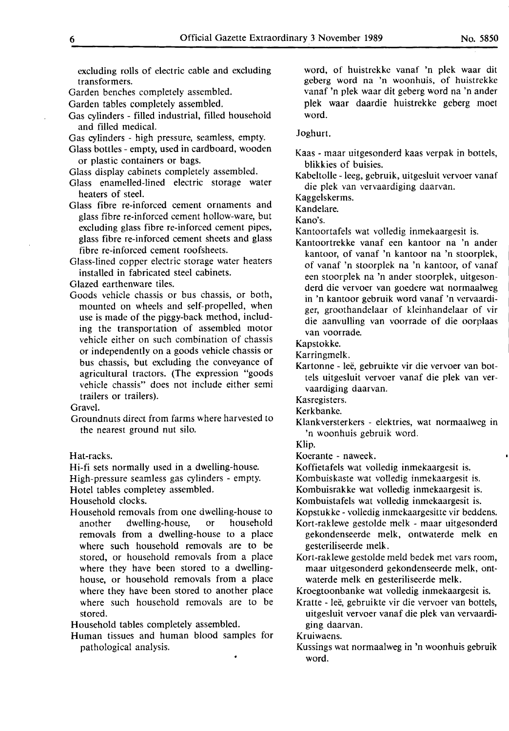Garden benches completely assembled.

- Garden tables completely assembled.
- Gas cylinders filled industrial, filled household and filled medical.
- Gas cylinders high pressure, seamless, empty.
- Glass bottles empty, used in cardboard, wooden or plastic containers or bags.
- Glass display cabinets completely assembled.
- Glass enamelled-lined electric storage water heaters of steel.
- Glass fibre re-inforced cement ornaments and glass fibre re-inforced cement hollow-ware, but excluding glass fibre re-inforced cement pipes, glass fibre re-inforced cement sheets and glass fibre re-inforced cement roofsheets.
- Glass-lined copper electric storage water heaters installed in fabricated steel cabinets.
- Glazed earthenware tiles.
- Goods vehicle chassis or bus chassis, or both, mounted on wheels and self-propelled, when use is made of the piggy-back method, including the transportation of assembled motor vehicle either on such combination of chassis or independently on a goods vehicle chassis or bus chassis, but excluding the conveyance of agricultural tractors. (The expression "goods vehicle chassis" does not include either semi trailers or trailers).

Gravel.

Groundnuts direct from farms where harvested to the nearest ground nut silo.

Hat-racks.

Hi-fi sets normally used in a dwelling-house.

High-pressure seamless gas cylinders - empty.

Hotel tables completey assembled.

Household clocks.

Household removals from one dwelling-house to another dwelling-house, or household removals from a dwelling-house to a place where such household removals are to be stored, or household removals from a place where they have been stored to a dwellinghouse, or household removals from a place where they have been stored to another place where such household removals are to be stored.

Household tables completely assembled.

Human tissues and human blood samples for pathological analysis.

word, of huistrekke vanaf 'n plek waar dit geberg word na 'n woonhuis, of huistrekke vanaf 'n plek waar dit geberg word na 'n ander plek waar daardie huistrekke geberg moet word.

#### Joghurt.

Kaas - maar uitgesonderd kaas verpak in bottels, blikkies of buisies.

Kabeltolle - leeg, gebruik, uitgesluit vervoer vanaf die plek van vervaardiging daarvan.

Kaggelskerms.

Kandelare.

Kano's.

- Kantoortafels wat volledig inmekaargesit is.
- Kantoortrekke vanaf een kantoor na 'n ander kantoor, of vanaf 'n kantoor na 'n stoorplek, of vanaf 'n stoorplek na 'n kantoor, of vanaf een stoorplek na 'n ander stoorplek, uitgesonderd die vervoer van goedere wat normaalweg in 'n kantoor gebruik word vanaf 'n vervaardiger, groothandelaar of kleinhandelaar of vir die aanvulling van voorrade of die oorplaas van voorrade.

Kapstokke.

Karringmelk.

- Kartonne leë, gebruikte vir die vervoer van bottels uitgesluit vervoer vanaf die plek van vervaardiging daarvan.
- Kasregisters.

Kerkbanke.

Klankversterkers - elektries, wat normaalweg in 'n woonhuis gebruik word.

Klip.

Koerante - naweek.

Koffietafels wat volledig inmekaargesit is.

Kombuiskaste wat volledig inmekaargesit is.

Kombuisrakke wat volledig inmekaargesit is.

Kombuistafels wat volledig inmekaargesit is.

Kopstukke - volledig inmekaargesitte vir beddens.

- Kort-raklewe gestolde melk maar uitgesonderd gekondenseerde melk, ontwaterde melk en gesteriliseerde melk.
- Kort-raklewe gestolde meld bedek met vars room, maar uitgesonderd gekondenseerde melk, ontwaterde melk en gesteriliseerde melk.

Kroegtoonbanke wat volledig inmekaargesit is.

Kratte - leë, gebruikte vir die vervoer van bottels, uitgesluit vervoer vanaf die plek van vervaardiging daarvan.

Kruiwaens.

Kussings wat normaalweg in 'n woonhuis gebruik word.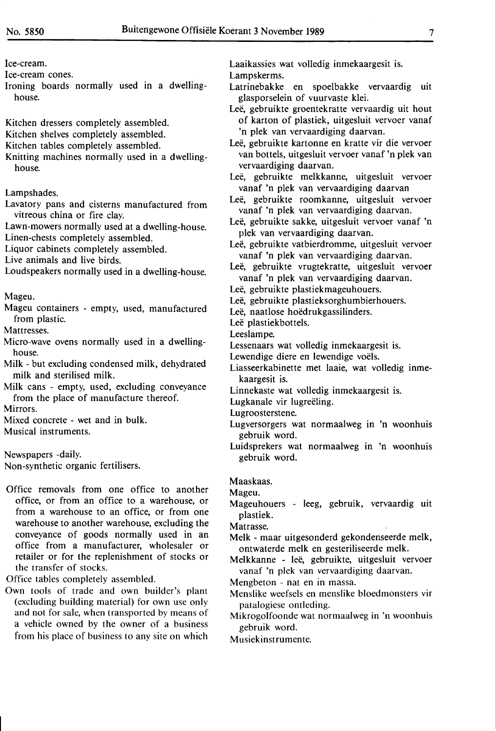Ice-cream.

Ice-cream cones.

- Ironing boards normally used in a dwellinghouse.
- Kitchen dressers completely assembled.
- Kitchen shelves completely assembled.
- Kitchen tables completely assembled.
- Knitting machines normally used in a dwellinghouse.

Lampshades.

- Lavatory pans and cisterns manufactured from vitreous china or fire clay.
- Lawn-mowers normally used at a dwelling-house. Linen-chests completely assembled.
- Liquor cabinets completely assembled.

Live animals and live birds.

Loudspeakers normally used in a dwelling-house.

Mageu.

Mageu containers - empty, used, manufactured from plastic.

Mattresses.

- Micro-wave ovens normally used in a dwellinghouse.
- Milk but excluding condensed milk, dehydrated milk and sterilised milk.
- **Milk** cans empty, used, excluding conveyance from the place of manufacture thereof.

Mirrors.

Mixed concrete - wet and in bulk.

Musical instruments.

Newspapers -daily.

Non-synthetic organic fertilisers.

Office removals from one office to another office, or from an office to a warehouse, or from a warehouse to an office, or from one warehouse to another warehouse, excluding the conveyance of goods normally used in an office from a manufacturer, wholesaler or retailer or for the replenishment of stocks or the transfer of stocks.

Office tables completely assembled.

Own tools of trade and own builder's plant (excluding building material) for own use only and not for sale, when transported by means of a vehicle owned by the owner of a business from his place of business to any site on which

Laaikassies wat volledig inmekaargesit is. Lampskerms.

- Latrinebakke en spoelbakke vervaardig uit glasporselein of vuurvaste klei.
- Leë, gebruikte groentekratte vervaardig uit hout of karton of plastiek, uitgesluit vervoer vanaf 'n plek van vervaardiging daarvan.
- Leë, gebruikte kartonne en kratte vir die vervoer van bottels, uitgesluit vervoer vanaf 'n plek van vervaardiging daarvan.
- Leë, gebruikte melkkanne, uitgesluit vervoer vanaf 'n plek van vervaardiging daarvan
- Leë, gebruikte roomkanne, uitgesluit vervoer vanaf 'n plek van vervaardiging daarvan.
- Leë, gebruikte sakke, uitgesluit vervoer vanaf 'n plek van vervaardiging daarvan.
- Leë, gebruikte vatbierdromme, uitgesluit vervoer vanaf 'n plek van vervaardiging daarvan.
- Leë, gebruikte vrugtekratte, uitgesluit vervoer vanaf 'n plek van vervaardiging daarvan.
- Leë, gebruikte plastiekmageuhouers.
- Leë, gebruikte plastieksorghumbierhouers.
- Leë, naatlose hoëdrukgassilinders.
- Leë plastiekbottels.
- Leeslampe.
- Lessenaars wat volledig inmekaargesit is.
- Lewendige diere en lewendige voëls.
- Liasseerkabinette met laaie, wat volledig inmekaargesit is.
- Linnekaste wat volledig inmekaargesit is.

Lugkanale vir lugreëling.

Lugroosterstene.

- Lugversorgers wat normaalweg in 'n woonhuis gebruik word.
- Luidsprekers wat normaalweg in 'n woonhuis gebruik word.

Maaskaas.

Mageu.

Mageuhouers - leeg, gebruik, vervaardig uit plastiek.

Matrasse.

- Melk maar uitgesonderd gekondenseerde melk, ontwaterde melk en gesteriliseerde melk.
- Melkkanne leë, gebruikte, uitgesluit vervoer vanaf 'n plek van vervaardiging daarvan.
- Mengbeton nat en in massa. .
- Menslike weefsels en menslike bloedmonsters vir patalogiese ontleding.
- Mikrogolfoonde wat normaalweg in 'n woonhuis gebruik word.
- Musiekinstrumente.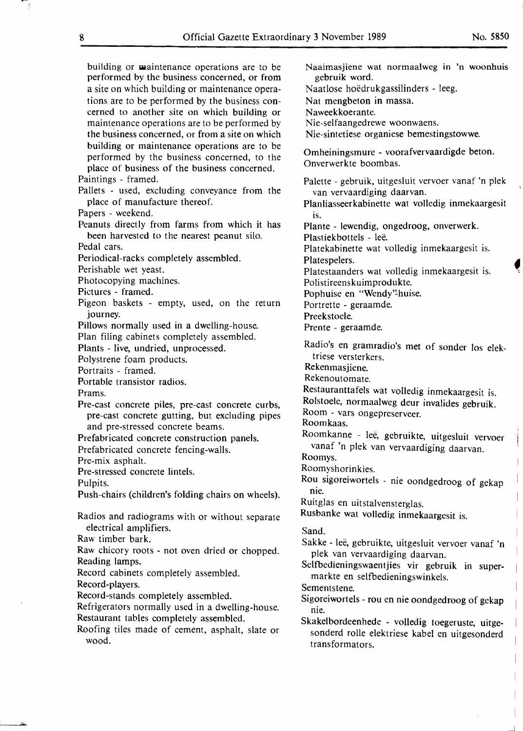building or maintenance operations are to be performed by the business concerned, or from a site on which building or maintenance operations are to be performed by the business concerned to another site on which building or maintenance operations are to be performed by the business concerned, or from a site on which building or maintenance operations are to be performed by the business concerned, to the place of business of the business concerned. Paintings - framed.

Pallets - used, excluding conveyance from the place of manufacture thereof.

**Papers** - **weekend.** 

Peanuts directly from farms from which it has been harvested to the nearest peanut silo.

**Pedal cars.** 

Periodical-racks completely assembled.

Perishable wet yeast.

**Photocopying machines.** 

Pictures - framed.

Pigeon baskets - empty, used, on the return journey.

Pillows normally used in a dwelling-house.

Plan filing cabinets completely assembled.

Plants - live, undried, unprocessed.

**Polystrene foam products.** 

Portraits - framed.

Portable transistor radios.

**Prams.** 

Pre-cast concrete piles, pre-cast concrete curbs, pre-cast concrete gutting, but excluding pipes and pre-stressed concrete beams.

Prefabricated concrete construction panels.

**Prefabricated concrete fencing-walls.** 

**Pre-mix asphalt.** 

Pre-stressed concrete lintels.

**Pulpits.** 

Push-chairs (children's folding chairs on wheels).

Radios and radiograms with or without separate electrical amplifiers.

**Raw timber bark.** 

Raw chicory roots - not oven dried or chopped. Reading lamps.

**Record cabinets completely assembled.** 

Record-players.

Record-stands completely assembled.

**Refrigerators normally used in a dwelling-house.**  Restaurant tables completely assembled.

**Roofing** tiles **made of cement, asphalt, slate or wood.** 

Naaimasjiene wat normaalweg in 'n woonhuis gebruik word. Naatlose hoëdrukgassilinders - leeg. Nat mengbeton in massa. Naweekkoerante. Nie-selfaangedrewe woonwaens. Nie-sintetiese organiese bemestingstowwe. · Omheiningsmure - voorafvervaardigde beton. Onverwerkte boombas. Palette - gebruik, uitgesluit vervoer vanaf 'n **plek**  van vervaardiging daarvan. Planliasseerkabinette wat volledig inmekaargesit is. Plante - lewendig, ongedroog, onverwerk. Plastiekbottels - leë. Platekabinette wat volledig inmekaargesit is. Platespelers. Platestaanders wat volledig inmekaargesit is. Polistireenskuimprodukte. Pophuise en "Wendy"-huise. Portrette - geraamde. Preekstoele. Prente - geraamde. Radio's **en** gramradio's met of sonder Ios elektriese versterkers. Rekenmasjiene. Rekenoutomate. Restauranttafels wat volledig inmekaargesit is. Rolstoele, normaalweg deur invalides gebruik. Room - vars ongepreserveer. Roomkaas. Roomkanne - lee, gebruikte, uitgesluit vervoer vanaf 'n plek van vervaardiging daarvan. Roomys. Roomyshorinkies. Rou sigoreiwortels - nie oondgedroog of gekap nie.

Ruitglas en uitstalvensterglas.

Rusbanke wat volledig inmekaargesit is.

Sand.

Sakke - leë, gebruikte, uitgesluit vervoer vanaf 'n plek van vervaardiging daarvan.

Selfbedieningswaentjies vir gebruik in supermarkte en selfbedieningswinkels.

Sementstene.

Sigoreiwortels - rou en nie oondgedroog of gekap nie.

Skakelbordeenhede - volledig toegeruste, uitgesonderd rolle elektriese kabel en uitgesonderd transformators.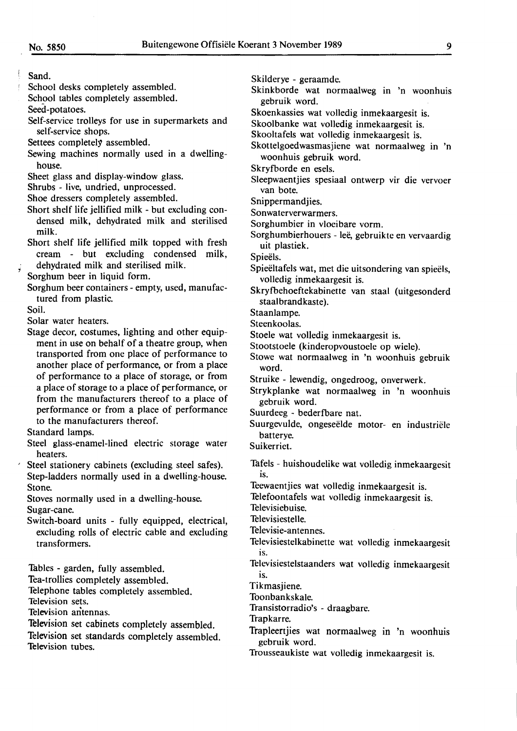Sand.

School desks completely assembled.

School tables completely assembled.

Seed-potatoes.

Self-service trolleys for use in supermarkets and self-service shops.

Settees completely assembled.

Sewing machines normally used in a dwellinghouse.

Sheet glass and display-window glass.

Shrubs - live, undried, unprocessed.

Shoe dressers completely assembled.

- Short shelf life jellified milk but excluding condensed milk, dehydrated milk and sterilised milk.
- Short shelf life jellified milk topped with fresh cream - but excluding condensed milk, dehydrated milk and sterilised milk.

Sorghum beer in liquid form.

Sorghum beer containers - empty, used, manufactured from plastic.

Soil.

*'i* 

Solar water heaters.

Stage decor, costumes, lighting and other equipment in use on behalf of a theatre group, when transported from one place of performance to another place of performance, or from a place of performance to a place of storage, or from a place of storage to a place of performance, or from the manufacturers thereof to a place of performance or from a place of performance to the manufacturers thereof.

Standard lamps.

- Steel glass-enamel-lined electric storage water heaters.
- Steel stationery cabinets (excluding steel safes). Step-ladders normally used in a dwelling-house. Stone.

Stoves normally used in a dwelling-house. Sugar-cane.

Switch-board units - fully equipped, electrical, excluding rolls of electric cable and excluding transformers.

Tables - garden, fully assembled.

Tea-trollies completely assembled.

Telephone tables completely assembled.

Television sets.

Television antennas.

Television set cabinets completely assembled.

Television set standards completely assembled. Television tubes.

Skilderye - geraamde.

- Skinkborde wat normaalweg in 'n woonhuis gebruik word.
- Skoenkassies wat volledig inmekaargesit is.

Skoolbanke wat volledig inmekaargesit is.

Skooltafels wat volledig inmekaargesit is.

Skottelgoedwasmasjiene wat normaalweg in 'n woonhuis gebruik word.

Skryfborde en esels.

Sleepwaentjies spesiaal ontwerp vir die vervoer van bote.

Snippermandjies.

Sonwaterverwarmers.

- Sorghumbier in vloeibare vorm.
- Sorghumbierhouers leë, gebruikte en vervaardig uit plastiek.

Spieëls.

- Spieeltafels wat, met die uitsondering van spieels, volledig inmekaargesit is.
- Skryfbehoeftekabinette van staal (uitgesonderd staal brandkaste).

Staanlampe.

Steenkoolas.

- Stoele wat volledig inmekaargesit is.
- Stootstoele (kinderopvoustoele op wiele).
- Stowe wat normaalweg in 'n woonhuis gebruik word.
- Struike lewendig, ongedroog, onverwerk.
- Strykplanke wat normaalweg in 'n woonhuis gebruik word.
- Suurdeeg bederfbare nat.
- Suurgevulde, ongeseelde motor- en industriele batterye.
- Suikerriet.
- Tafels huishoudelike wat volledig inmekaargesit is.

Teewaentjies wat volledig inmekaargesit is.

Telefoontafels wat volledig inmekaargesit is. Televisiebuise.

Televisiestelle.

Televisie-antennes.

- Televisiestelkabinette wat volledig inmekaargesit is.
- Televisiestelstaanders wat volledig inmekaargesit IS.

Tikmasjiene.

Toonbankskale.

Transistorradio's - draagbare.

- Trapkarre.
	- Trapleertjies wat normaalweg in 'n woonhuis gebruik word.

Trousseaukiste wat volledig inmekaargesit is.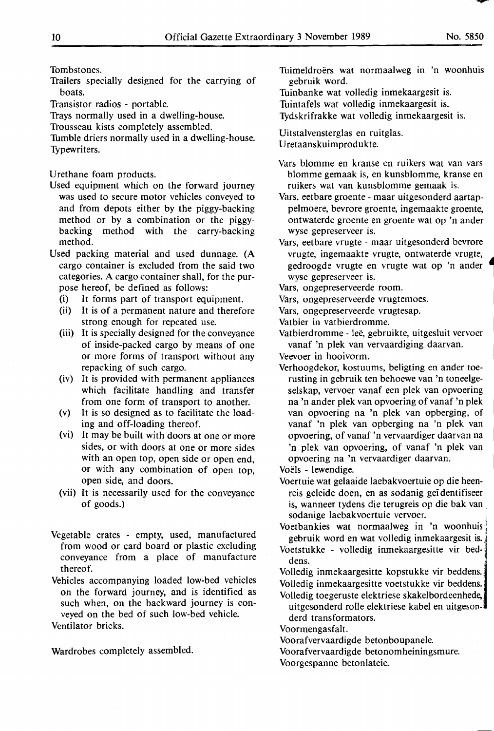Tombstones.

- 1railers specially designed for the carrying of boats.
- Transistor radios portable.
- 1rays normally used in a dwelling-house.

Trousseau kists completely assembled.

Tumble driers normally used in a dwelling-house. Typewriters.

Urethane foam products.

- Used equipment which on the forward journey was used to secure motor vehicles conveyed to and from depots either by the piggy-backing method or by a combination or the piggybacking method with the carry-backing method.
- Used packing material and used dunnage. (A cargo container is excluded from the said two categories. A cargo container shall, for the purpose hereof, be defined as follows:
	- (i) It forms part of transport equipment.
	- (ii) It is of a permanent nature and therefore strong enough for repeated use.
	- (iii) It is specially designed for the conveyance of inside-packed cargo by means of one or more forms of transport without any repacking of such cargo.
	- (iv) It is provided with permanent appliances which facilitate handling and transfer from one form of transport to another.
	- (v) It is so designed as to facilitate the loading and off-loading thereof.
	- (vi) It may be built with doors at one or more sides, or with doors at one or more sides with an open top, open side or open end, or with any combination of open top, open side, and doors.
	- (vii) It is necessarily used for the conveyance of goods.)
- Vegetable crates empty, used, manufactured from wood or card board or plastic excluding conveyance from a place of manufacture thereof.
- Vehicles accompanying loaded low-bed vehicles on the forward journey, and is identified as such when, on the backward journey is conveyed on the bed of such low-bed vehicle.

Ventilator bricks.

Wardrobes completely assembled.

Tuimeldroërs wat normaalweg in 'n woonhuis gebruik word.

Tuinbanke wat volledig inmekaargesit is.

Tuintafels wat volledig inmekaargesit is.

Tydskrifrakke wat volledig inmekaargesit is.

Uitstalvensterglas en ruitglas. U retaanskuimprodukte.

- Vars blomme en kranse en ruikers wat van vars blomme gemaak is, en kunsblomme, kranse en ruikers wat van kunsblomme gemaak is.
- Vars, eetbare groente maar uitgesonderd aartappelmoere, bevrore groente, ingemaakte groente, ontwaterde groente en groente wat op 'n ander wyse gepreserveer is.
- Vars, eetbare vrugte maar uitgesonderd bevrore vrugte, ingemaakte vrugte, ontwaterde vrugte, • gedroogde vrugte en vrugte wat op 'n ander 7 wyse gepreserveer is.
- Vars, ongepreserveerde room.
- Vars, ongepreserveerde vrugtemoes.
- Vars, ongepreserveerde vrugtesap.
- Vatbier in vatbierdromme.
- Vatbierdromme leë, gebruikte, uitgesluit vervoer vanaf 'n plek van vervaardiging daarvan. <sup>1</sup>
- Veevoer in hooivorm.
- Verhoogdekor, kostuums, beligting en ander toerusting in gebruik ten behoewe van 'n toneelgeselskap, vervoer vanaf een plek van opvoering na 'n ander plek van opvoering of vanaf 'n plek van opvoering na 'n plek van opberging, of vanaf 'n plek van opberging na 'n plek van opvoering, of vanaf 'n vervaardiger daarvan na 'n plek van opvoering, of vanaf 'n plek van opvoering na 'n vervaardiger daarvan.

Voels - lewendige.

- Voertuie wat gelaaide laebakvoertuie op die heenreis geleide doen, en as sodanig gei dentifiseer is, wanneer tydens die terugreis op die bak van : sodanige laebakvoertuie vervoer. .
- Voetbankies wat normaalweg in 'n woonhuis gebruik word en wat volledig inmekaargesit is.
- Voetstukke volledig inmekaargesitte vir beddens.

Volledig inmekaargesitte kopstukke vir beddens. Volledig inmekaargesitte voetstukke vir beddens.

Volledig toegeruste elektriese skakelbordeenhede, uitgesonderd rolle elektriese kabel en uitgesonderd transformators.

Voormengasfalt.

Voorafvervaardigde betonboupanele.

Voorafvervaardigde betonomheiningsmure.

Voorgespanne betonlateie.